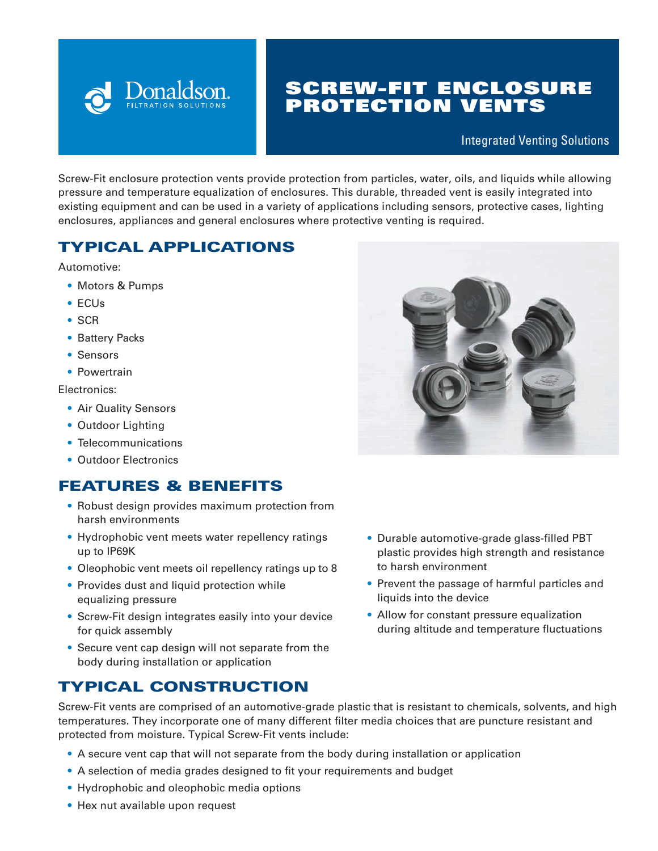

# SCREW-FIT ENCLOSURE PROTECTION VENTS

#### Integrated Venting Solutions

Screw-Fit enclosure protection vents provide protection from particles, water, oils, and liquids while allowing pressure and temperature equalization of enclosures. This durable, threaded vent is easily integrated into existing equipment and can be used in a variety of applications including sensors, protective cases, lighting enclosures, appliances and general enclosures where protective venting is required.

## TYPICAL APPLICATIONS

Automotive:

- Motors & Pumps
- ECUs
- SCR
- Battery Packs
- Sensors
- Powertrain

Electronics:

- Air Quality Sensors
- Outdoor Lighting
- Telecommunications
- Outdoor Electronics

#### FEATURES & BENEFITS

- Robust design provides maximum protection from harsh environments
- Hydrophobic vent meets water repellency ratings up to IP69K
- Oleophobic vent meets oil repellency ratings up to 8
- Provides dust and liquid protection while equalizing pressure
- Screw-Fit design integrates easily into your device for quick assembly
- Secure vent cap design will not separate from the body during installation or application

## TYPICAL CONSTRUCTION

- Durable automotive-grade glass-filled PBT plastic provides high strength and resistance to harsh environment
- Prevent the passage of harmful particles and liquids into the device
- Allow for constant pressure equalization during altitude and temperature fluctuations



- A secure vent cap that will not separate from the body during installation or application
- A selection of media grades designed to fit your requirements and budget
- Hydrophobic and oleophobic media options
- Hex nut available upon request

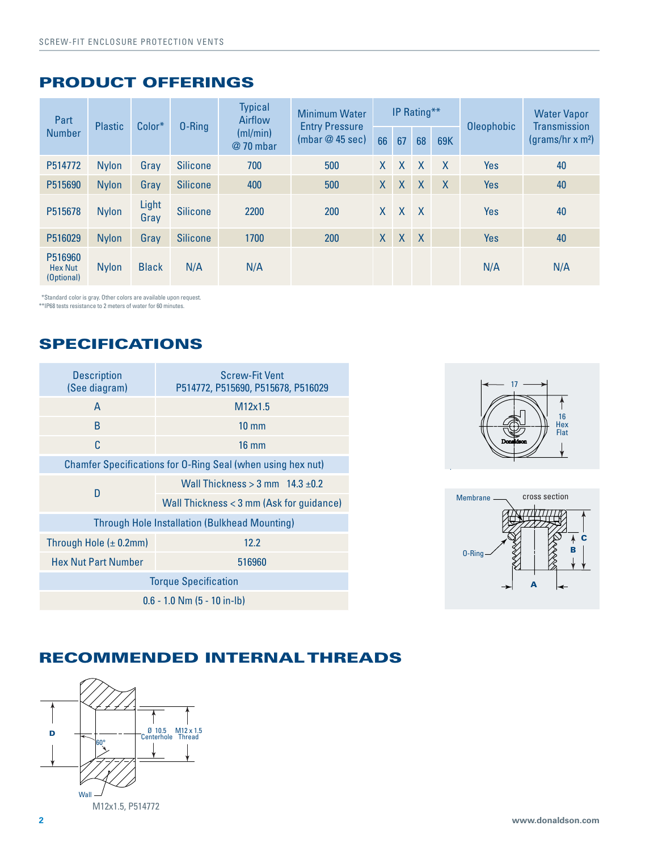#### PRODUCT OFFERINGS

| Part<br><b>Number</b>                   | <b>Plastic</b> | $Color*$      | $0$ -Ring       | <b>Typical</b><br>Airflow<br>(ml/min)<br>@ 70 mbar | <b>Minimum Water</b><br><b>Entry Pressure</b><br>(mbar@45 sec) | IP Rating**  |              |              |              | <b>Oleophobic</b> | <b>Water Vapor</b><br><b>Transmission</b> |
|-----------------------------------------|----------------|---------------|-----------------|----------------------------------------------------|----------------------------------------------------------------|--------------|--------------|--------------|--------------|-------------------|-------------------------------------------|
|                                         |                |               |                 |                                                    |                                                                | 66           | 67           | 68           | <b>69K</b>   |                   | (grams/hr x m <sup>2</sup> )              |
| P514772                                 | <b>Nylon</b>   | Gray          | <b>Silicone</b> | 700                                                | 500                                                            | X            | $\mathsf{X}$ | X            | $\mathsf{X}$ | Yes               | 40                                        |
| P515690                                 | <b>Nylon</b>   | Gray          | <b>Silicone</b> | 400                                                | 500                                                            | $\mathsf{X}$ | X            | $\mathsf{X}$ | $\mathsf{X}$ | Yes               | 40                                        |
| P515678                                 | <b>Nylon</b>   | Light<br>Gray | <b>Silicone</b> | 2200                                               | 200                                                            | X.           | $\mathsf{X}$ | X            |              | Yes               | 40                                        |
| P516029                                 | <b>Nylon</b>   | Gray          | <b>Silicone</b> | 1700                                               | 200                                                            | $\mathsf{X}$ | $\sf X$      | X            |              | Yes               | 40                                        |
| P516960<br><b>Hex Nut</b><br>(Optional) | <b>Nylon</b>   | <b>Black</b>  | N/A             | N/A                                                |                                                                |              |              |              |              | N/A               | N/A                                       |

\*Standard color is gray. Other colors are available upon request.

\*\*IP68 tests resistance to 2 meters of water for 60 minutes.

## SPECIFICATIONS

| <b>Description</b><br>(See diagram)                         | <b>Screw-Fit Vent</b><br>P514772, P515690, P515678, P516029 |  |  |  |  |  |  |
|-------------------------------------------------------------|-------------------------------------------------------------|--|--|--|--|--|--|
| A                                                           | M12x1.5                                                     |  |  |  |  |  |  |
| B                                                           | $10 \text{ mm}$                                             |  |  |  |  |  |  |
| C                                                           | $16 \text{ mm}$                                             |  |  |  |  |  |  |
| Chamfer Specifications for O-Ring Seal (when using hex nut) |                                                             |  |  |  |  |  |  |
| D                                                           | Wall Thickness $>$ 3 mm $14.3 \pm 0.2$                      |  |  |  |  |  |  |
|                                                             | Wall Thickness < 3 mm (Ask for guidance)                    |  |  |  |  |  |  |
| <b>Through Hole Installation (Bulkhead Mounting)</b>        |                                                             |  |  |  |  |  |  |
| Through Hole $(\pm 0.2$ mm)                                 | 12.2                                                        |  |  |  |  |  |  |
| <b>Hex Nut Part Number</b>                                  | 516960                                                      |  |  |  |  |  |  |
| <b>Torque Specification</b>                                 |                                                             |  |  |  |  |  |  |
| $0.6 - 1.0$ Nm $(5 - 10$ in-lb)                             |                                                             |  |  |  |  |  |  |





## RECOMMENDED INTERNAL THREADS